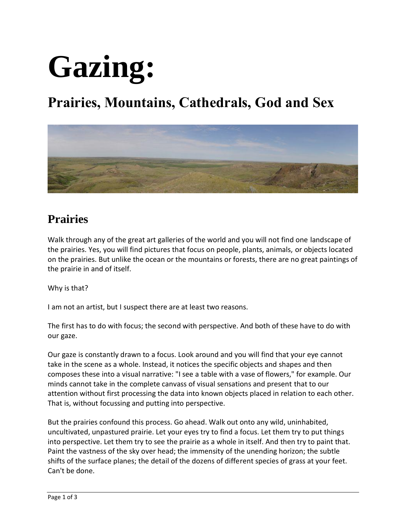

## **Prairies, Mountains, Cathedrals, God and Sex**



#### **Prairies**

Walk through any of the great art galleries of the world and you will not find one landscape of the prairies. Yes, you will find pictures that focus on people, plants, animals, or objects located on the prairies. But unlike the ocean or the mountains or forests, there are no great paintings of the prairie in and of itself.

Why is that?

I am not an artist, but I suspect there are at least two reasons.

The first has to do with focus; the second with perspective. And both of these have to do with our gaze.

Our gaze is constantly drawn to a focus. Look around and you will find that your eye cannot take in the scene as a whole. Instead, it notices the specific objects and shapes and then composes these into a visual narrative: "I see a table with a vase of flowers," for example. Our minds cannot take in the complete canvass of visual sensations and present that to our attention without first processing the data into known objects placed in relation to each other. That is, without focussing and putting into perspective.

But the prairies confound this process. Go ahead. Walk out onto any wild, uninhabited, uncultivated, unpastured prairie. Let your eyes try to find a focus. Let them try to put things into perspective. Let them try to see the prairie as a whole in itself. And then try to paint that. Paint the vastness of the sky over head; the immensity of the unending horizon; the subtle shifts of the surface planes; the detail of the dozens of different species of grass at your feet. Can't be done.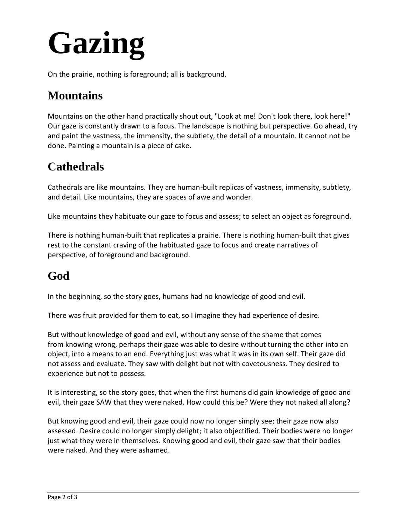# **Gazing**

On the prairie, nothing is foreground; all is background.

#### **Mountains**

Mountains on the other hand practically shout out, "Look at me! Don't look there, look here!" Our gaze is constantly drawn to a focus. The landscape is nothing but perspective. Go ahead, try and paint the vastness, the immensity, the subtlety, the detail of a mountain. It cannot not be done. Painting a mountain is a piece of cake.

### **Cathedrals**

Cathedrals are like mountains. They are human-built replicas of vastness, immensity, subtlety, and detail. Like mountains, they are spaces of awe and wonder.

Like mountains they habituate our gaze to focus and assess; to select an object as foreground.

There is nothing human-built that replicates a prairie. There is nothing human-built that gives rest to the constant craving of the habituated gaze to focus and create narratives of perspective, of foreground and background.

### **God**

In the beginning, so the story goes, humans had no knowledge of good and evil.

There was fruit provided for them to eat, so I imagine they had experience of desire.

But without knowledge of good and evil, without any sense of the shame that comes from knowing wrong, perhaps their gaze was able to desire without turning the other into an object, into a means to an end. Everything just was what it was in its own self. Their gaze did not assess and evaluate. They saw with delight but not with covetousness. They desired to experience but not to possess.

It is interesting, so the story goes, that when the first humans did gain knowledge of good and evil, their gaze SAW that they were naked. How could this be? Were they not naked all along?

But knowing good and evil, their gaze could now no longer simply see; their gaze now also assessed. Desire could no longer simply delight; it also objectified. Their bodies were no longer just what they were in themselves. Knowing good and evil, their gaze saw that their bodies were naked. And they were ashamed.